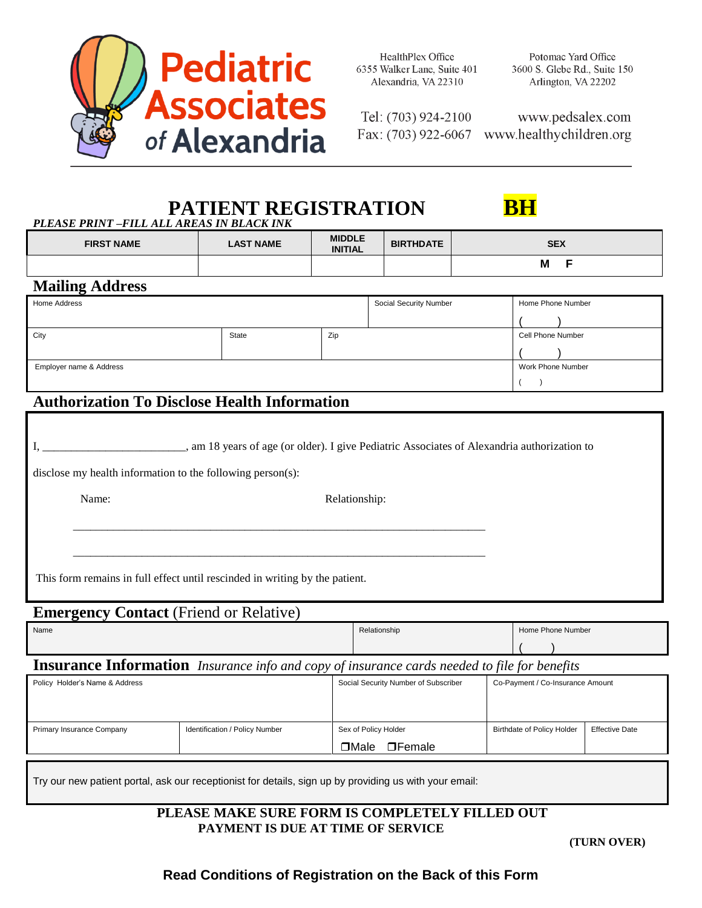

HealthPlex Office 6355 Walker Lane, Suite 401 Alexandria, VA 22310

Tel: (703) 924-2100

www.pedsalex.com Fax: (703) 922-6067 www.healthychildren.org

# **PATIENT REGISTRATION BH**

| <b>FIRST NAME</b>       | <b>LAST NAME</b>                                           | <b>MIDDLE</b><br><b>INITIAL</b> | <b>BIRTHDATE</b>       | <b>SEX</b>                                                                                  |
|-------------------------|------------------------------------------------------------|---------------------------------|------------------------|---------------------------------------------------------------------------------------------|
|                         |                                                            |                                 |                        | F<br>M                                                                                      |
| <b>Mailing Address</b>  |                                                            |                                 |                        |                                                                                             |
| Home Address            |                                                            |                                 | Social Security Number | Home Phone Number                                                                           |
|                         |                                                            |                                 |                        |                                                                                             |
| City                    | State                                                      | Zip                             |                        | Cell Phone Number                                                                           |
|                         |                                                            |                                 |                        |                                                                                             |
| Employer name & Address |                                                            |                                 |                        | Work Phone Number                                                                           |
|                         |                                                            |                                 |                        |                                                                                             |
|                         | <b>Authorization To Disclose Health Information</b>        |                                 |                        |                                                                                             |
|                         | disclose my health information to the following person(s): |                                 |                        | , am 18 years of age (or older). I give Pediatric Associates of Alexandria authorization to |

This form remains in full effect until rescinded in writing by the patient.

## **Emergency Contact (Friend or Relative)**

| Name                                                                                                | Relationship | Home Phone Number |  |  |  |  |
|-----------------------------------------------------------------------------------------------------|--------------|-------------------|--|--|--|--|
|                                                                                                     |              |                   |  |  |  |  |
| <b>Insurance Information</b> Insurance info and copy of insurance cards needed to file for benefits |              |                   |  |  |  |  |

| Policy Holder's Name & Address |                                | Social Security Number of Subscriber | Co-Payment / Co-Insurance Amount  |                       |
|--------------------------------|--------------------------------|--------------------------------------|-----------------------------------|-----------------------|
|                                |                                |                                      |                                   |                       |
|                                |                                |                                      |                                   |                       |
| Primary Insurance Company      | Identification / Policy Number | Sex of Policy Holder                 | <b>Birthdate of Policy Holder</b> | <b>Effective Date</b> |
|                                |                                | $\Box$ Male<br>$\Box$ Female         |                                   |                       |

Try our new patient portal, ask our receptionist for details, sign up by providing us with your email:

### **PLEASE MAKE SURE FORM IS COMPLETELY FILLED OUT PAYMENT IS DUE AT TIME OF SERVICE**

**(TURN OVER)**

## **Read Conditions of Registration on the Back of this Form**